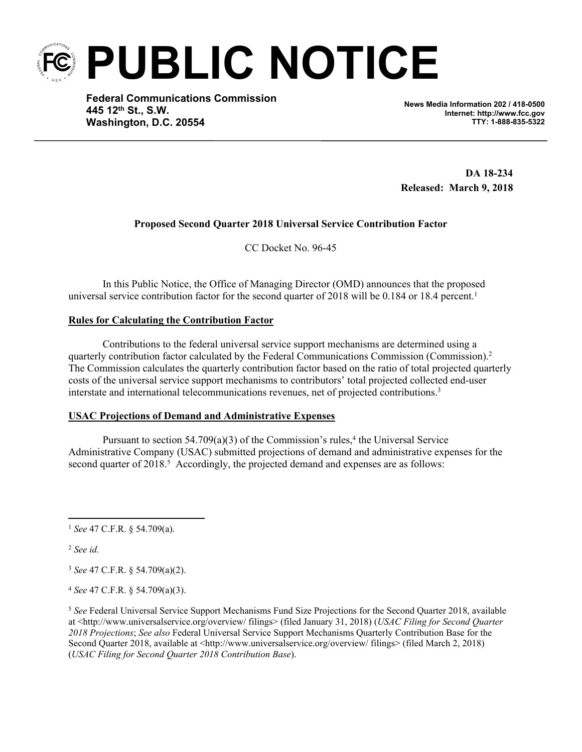**PUBLIC NOTICE**

**Federal Communications Commission 445 12th St., S.W. Washington, D.C. 20554**

**News Media Information 202 / 418-0500 Internet: http://www.fcc.gov TTY: 1-888-835-5322**

 **DA 18-234 Released: March 9, 2018**

# **Proposed Second Quarter 2018 Universal Service Contribution Factor**

CC Docket No. 96-45

In this Public Notice, the Office of Managing Director (OMD) announces that the proposed universal service contribution factor for the second quarter of 2018 will be 0.184 or 18.4 percent.<sup>1</sup>

# **Rules for Calculating the Contribution Factor**

Contributions to the federal universal service support mechanisms are determined using a quarterly contribution factor calculated by the Federal Communications Commission (Commission).<sup>2</sup> The Commission calculates the quarterly contribution factor based on the ratio of total projected quarterly costs of the universal service support mechanisms to contributors' total projected collected end-user interstate and international telecommunications revenues, net of projected contributions.<sup>3</sup>

# **USAC Projections of Demand and Administrative Expenses**

Pursuant to section  $54.709(a)(3)$  of the Commission's rules,<sup>4</sup> the Universal Service Administrative Company (USAC) submitted projections of demand and administrative expenses for the second quarter of 2018.<sup>5</sup> Accordingly, the projected demand and expenses are as follows:

<sup>1</sup> *See* 47 C.F.R. § 54.709(a).

<sup>2</sup> *See id.*

<sup>3</sup> *See* 47 C.F.R. § 54.709(a)(2).

<sup>4</sup> *See* 47 C.F.R. § 54.709(a)(3).

<sup>5</sup> *See* Federal Universal Service Support Mechanisms Fund Size Projections for the Second Quarter 2018, available at <http://www.universalservice.org/overview/ filings> (filed January 31, 2018) (*USAC Filing for Second Quarter 2018 Projections*; *See also* Federal Universal Service Support Mechanisms Quarterly Contribution Base for the Second Quarter 2018, available at <http://www.universalservice.org/overview/ filings> (filed March 2, 2018) (*USAC Filing for Second Quarter 2018 Contribution Base*).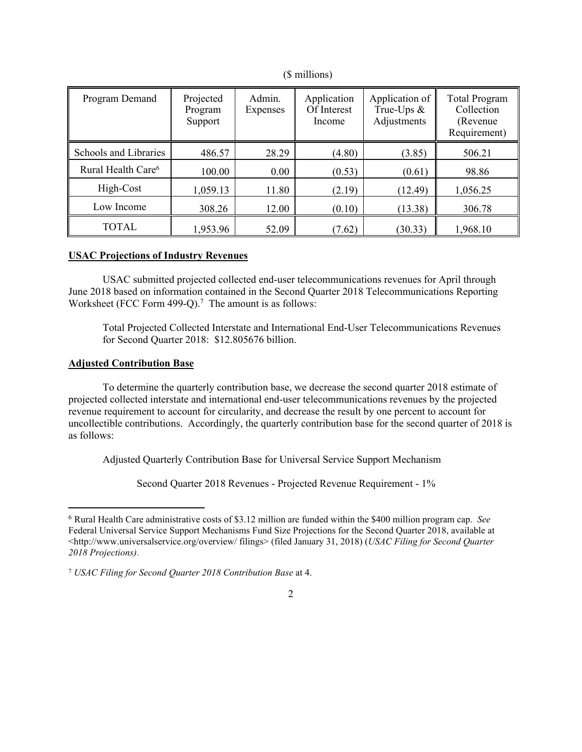| Program Demand                 | Projected<br>Program<br>Support | Admin.<br>Expenses | Application<br>Of Interest<br>Income | Application of<br>True-Ups $\&$<br>Adjustments | <b>Total Program</b><br>Collection<br>(Revenue)<br>Requirement) |
|--------------------------------|---------------------------------|--------------------|--------------------------------------|------------------------------------------------|-----------------------------------------------------------------|
| Schools and Libraries          | 486.57                          | 28.29              | (4.80)                               | (3.85)                                         | 506.21                                                          |
| Rural Health Care <sup>6</sup> | 100.00                          | 0.00               | (0.53)                               | (0.61)                                         | 98.86                                                           |
| High-Cost                      | 1,059.13                        | 11.80              | (2.19)                               | (12.49)                                        | 1,056.25                                                        |
| Low Income                     | 308.26                          | 12.00              | (0.10)                               | (13.38)                                        | 306.78                                                          |
| TOTAL                          | 1,953.96                        | 52.09              | (7.62)                               | (30.33)                                        | 1,968.10                                                        |

(\$ millions)

# **USAC Projections of Industry Revenues**

USAC submitted projected collected end-user telecommunications revenues for April through June 2018 based on information contained in the Second Quarter 2018 Telecommunications Reporting Worksheet (FCC Form 499-Q).<sup>7</sup> The amount is as follows:

Total Projected Collected Interstate and International End-User Telecommunications Revenues for Second Quarter 2018: \$12.805676 billion.

# **Adjusted Contribution Base**

To determine the quarterly contribution base, we decrease the second quarter 2018 estimate of projected collected interstate and international end-user telecommunications revenues by the projected revenue requirement to account for circularity, and decrease the result by one percent to account for uncollectible contributions. Accordingly, the quarterly contribution base for the second quarter of 2018 is as follows:

Adjusted Quarterly Contribution Base for Universal Service Support Mechanism

Second Quarter 2018 Revenues - Projected Revenue Requirement - 1%

<sup>6</sup> Rural Health Care administrative costs of \$3.12 million are funded within the \$400 million program cap. *See* Federal Universal Service Support Mechanisms Fund Size Projections for the Second Quarter 2018, available at <http://www.universalservice.org/overview/ filings> (filed January 31, 2018) (*USAC Filing for Second Quarter 2018 Projections)*.

<sup>7</sup>  *USAC Filing for Second Quarter 2018 Contribution Base* at 4.

<sup>2</sup>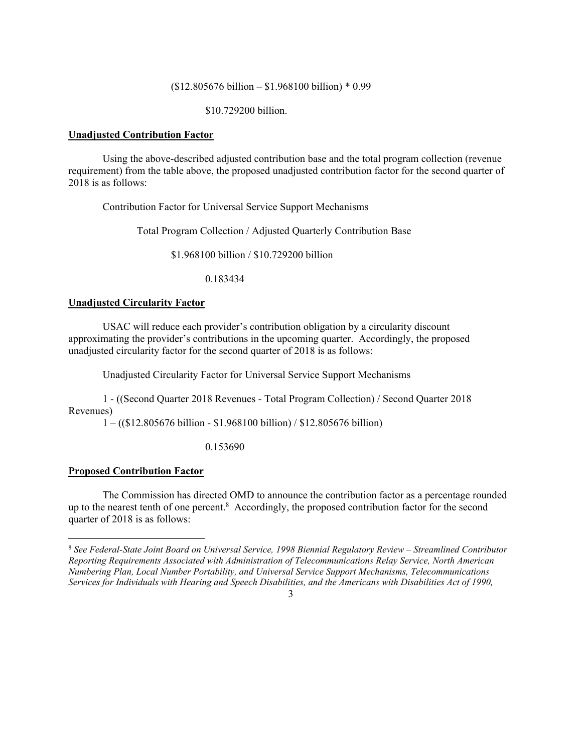## (\$12.805676 billion – \$1.968100 billion) \* 0.99

\$10.729200 billion.

## **Unadjusted Contribution Factor**

Using the above-described adjusted contribution base and the total program collection (revenue requirement) from the table above, the proposed unadjusted contribution factor for the second quarter of 2018 is as follows:

Contribution Factor for Universal Service Support Mechanisms

Total Program Collection / Adjusted Quarterly Contribution Base

\$1.968100 billion / \$10.729200 billion

0.183434

# **Unadjusted Circularity Factor**

USAC will reduce each provider's contribution obligation by a circularity discount approximating the provider's contributions in the upcoming quarter. Accordingly, the proposed unadjusted circularity factor for the second quarter of 2018 is as follows:

Unadjusted Circularity Factor for Universal Service Support Mechanisms

1 - ((Second Quarter 2018 Revenues - Total Program Collection) / Second Quarter 2018 Revenues)

1 – ((\$12.805676 billion - \$1.968100 billion) / \$12.805676 billion)

0.153690

## **Proposed Contribution Factor**

The Commission has directed OMD to announce the contribution factor as a percentage rounded up to the nearest tenth of one percent.<sup>8</sup> Accordingly, the proposed contribution factor for the second quarter of 2018 is as follows:

3

<sup>8</sup> *See Federal-State Joint Board on Universal Service, 1998 Biennial Regulatory Review – Streamlined Contributor Reporting Requirements Associated with Administration of Telecommunications Relay Service, North American Numbering Plan, Local Number Portability, and Universal Service Support Mechanisms, Telecommunications Services for Individuals with Hearing and Speech Disabilities, and the Americans with Disabilities Act of 1990,*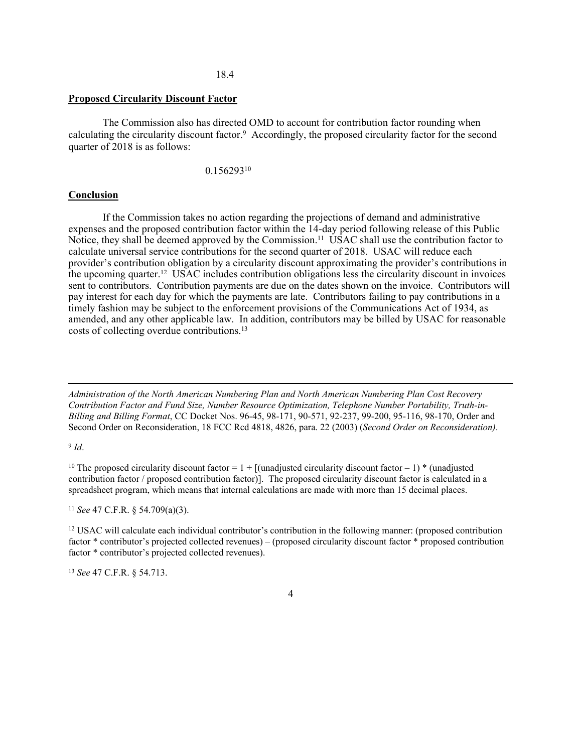#### 18.4

## **Proposed Circularity Discount Factor**

The Commission also has directed OMD to account for contribution factor rounding when calculating the circularity discount factor.<sup>9</sup> Accordingly, the proposed circularity factor for the second quarter of 2018 is as follows:

0.156293<sup>10</sup>

## **Conclusion**

If the Commission takes no action regarding the projections of demand and administrative expenses and the proposed contribution factor within the 14-day period following release of this Public Notice, they shall be deemed approved by the Commission.<sup>11</sup> USAC shall use the contribution factor to calculate universal service contributions for the second quarter of 2018. USAC will reduce each provider's contribution obligation by a circularity discount approximating the provider's contributions in the upcoming quarter.<sup>12</sup> USAC includes contribution obligations less the circularity discount in invoices sent to contributors. Contribution payments are due on the dates shown on the invoice. Contributors will pay interest for each day for which the payments are late. Contributors failing to pay contributions in a timely fashion may be subject to the enforcement provisions of the Communications Act of 1934, as amended, and any other applicable law. In addition, contributors may be billed by USAC for reasonable costs of collecting overdue contributions.<sup>13</sup>

*Administration of the North American Numbering Plan and North American Numbering Plan Cost Recovery Contribution Factor and Fund Size, Number Resource Optimization, Telephone Number Portability, Truth-in-Billing and Billing Format*, CC Docket Nos. 96-45, 98-171, 90-571, 92-237, 99-200, 95-116, 98-170, Order and Second Order on Reconsideration, 18 FCC Rcd 4818, 4826, para. 22 (2003) (*Second Order on Reconsideration)*.

#### 9 *Id*.

<sup>10</sup> The proposed circularity discount factor =  $1 +$  [(unadjusted circularity discount factor – 1) \* (unadjusted contribution factor / proposed contribution factor)]. The proposed circularity discount factor is calculated in a spreadsheet program, which means that internal calculations are made with more than 15 decimal places.

<sup>11</sup> *See* 47 C.F.R. § 54.709(a)(3).

<sup>12</sup> USAC will calculate each individual contributor's contribution in the following manner: (proposed contribution factor \* contributor's projected collected revenues) – (proposed circularity discount factor \* proposed contribution factor \* contributor's projected collected revenues).

<sup>13</sup> *See* 47 C.F.R. § 54.713.

#### 4